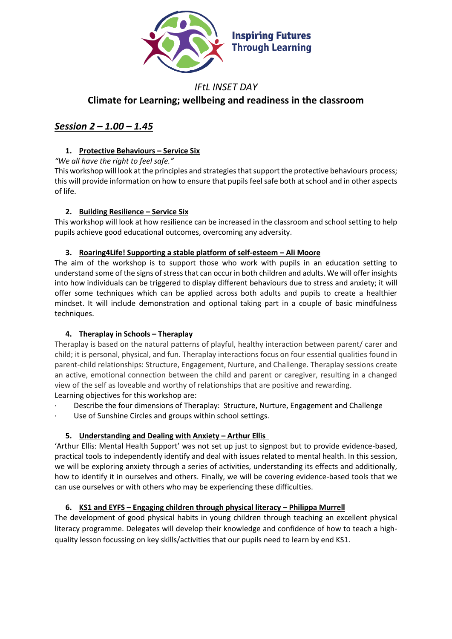

# *IFtL INSET DAY* **Climate for Learning; wellbeing and readiness in the classroom**

# *Session 2 – 1.00 – 1.45*

# **1. Protective Behaviours – Service Six**

*"We all have the right to feel safe."*

This workshop will look at the principles and strategies that support the protective behaviours process; this will provide information on how to ensure that pupils feel safe both at school and in other aspects of life.

# **2. Building Resilience – Service Six**

This workshop will look at how resilience can be increased in the classroom and school setting to help pupils achieve good educational outcomes, overcoming any adversity.

# **3. Roaring4Life! Supporting a stable platform of self-esteem – Ali Moore**

The aim of the workshop is to support those who work with pupils in an education setting to understand some of the signs of stress that can occur in both children and adults. We will offer insights into how individuals can be triggered to display different behaviours due to stress and anxiety; it will offer some techniques which can be applied across both adults and pupils to create a healthier mindset. It will include demonstration and optional taking part in a couple of basic mindfulness techniques.

# **4. Theraplay in Schools – Theraplay**

Theraplay is based on the natural patterns of playful, healthy interaction between parent/ carer and child; it is personal, physical, and fun. Theraplay interactions focus on four essential qualities found in parent-child relationships: Structure, Engagement, Nurture, and Challenge. Theraplay sessions create an active, emotional connection between the child and parent or caregiver, resulting in a changed view of the self as loveable and worthy of relationships that are positive and rewarding. Learning objectives for this workshop are:

Describe the four dimensions of Theraplay: Structure, Nurture, Engagement and Challenge

Use of Sunshine Circles and groups within school settings.

# **5. Understanding and Dealing with Anxiety – Arthur Ellis**

'Arthur Ellis: Mental Health Support' was not set up just to signpost but to provide evidence-based, practical tools to independently identify and deal with issues related to mental health. In this session, we will be exploring anxiety through a series of activities, understanding its effects and additionally, how to identify it in ourselves and others. Finally, we will be covering evidence-based tools that we can use ourselves or with others who may be experiencing these difficulties.

# **6. KS1 and EYFS – Engaging children through physical literacy – Philippa Murrell**

The development of good physical habits in young children through teaching an excellent physical literacy programme. Delegates will develop their knowledge and confidence of how to teach a highquality lesson focussing on key skills/activities that our pupils need to learn by end KS1.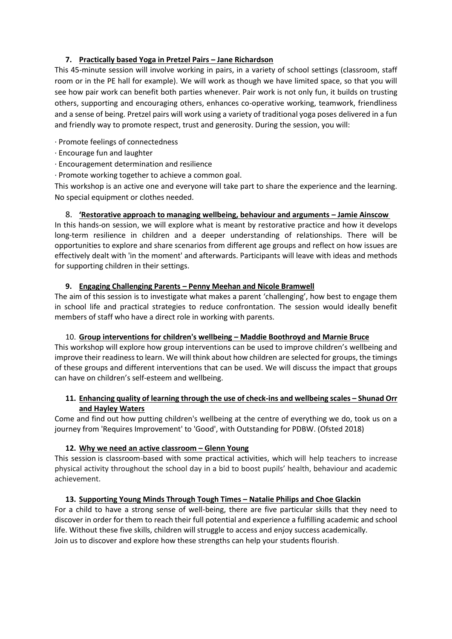## **7. Practically based Yoga in Pretzel Pairs – Jane Richardson**

This 45-minute session will involve working in pairs, in a variety of school settings (classroom, staff room or in the PE hall for example). We will work as though we have limited space, so that you will see how pair work can benefit both parties whenever. Pair work is not only fun, it builds on trusting others, supporting and encouraging others, enhances co-operative working, teamwork, friendliness and a sense of being. Pretzel pairs will work using a variety of traditional yoga poses delivered in a fun and friendly way to promote respect, trust and generosity. During the session, you will:

· Promote feelings of connectedness

- · Encourage fun and laughter
- · Encouragement determination and resilience
- · Promote working together to achieve a common goal.

This workshop is an active one and everyone will take part to share the experience and the learning. No special equipment or clothes needed.

# 8. **'Restorative approach to managing wellbeing, behaviour and arguments – Jamie Ainscow**

In this hands-on session, we will explore what is meant by restorative practice and how it develops long-term resilience in children and a deeper understanding of relationships. There will be opportunities to explore and share scenarios from different age groups and reflect on how issues are effectively dealt with 'in the moment' and afterwards. Participants will leave with ideas and methods for supporting children in their settings.

## **9. Engaging Challenging Parents – Penny Meehan and Nicole Bramwell**

The aim of this session is to investigate what makes a parent 'challenging', how best to engage them in school life and practical strategies to reduce confrontation. The session would ideally benefit members of staff who have a direct role in working with parents.

## 10. **Group interventions for children's wellbeing – Maddie Boothroyd and Marnie Bruce**

This workshop will explore how group interventions can be used to improve children's wellbeing and improve their readiness to learn. We will think about how children are selected for groups, the timings of these groups and different interventions that can be used. We will discuss the impact that groups can have on children's self-esteem and wellbeing.

# **11. Enhancing quality of learning through the use of check-ins and wellbeing scales – Shunad Orr and Hayley Waters**

Come and find out how putting children's wellbeing at the centre of everything we do, took us on a journey from 'Requires Improvement' to 'Good', with Outstanding for PDBW. (Ofsted 2018)

## **12. Why we need an active classroom – Glenn Young**

This session is classroom-based with some practical activities, which will help teachers to increase physical activity throughout the school day in a bid to boost pupils' health, behaviour and academic achievement.

# **13. Supporting Young Minds Through Tough Times – Natalie Philips and Choe Glackin**

For a child to have a strong sense of well-being, there are five particular skills that they need to discover in order for them to reach their full potential and experience a fulfilling academic and school life. Without these five skills, children will struggle to access and enjoy success academically. Join us to discover and explore how these strengths can help your students flourish.